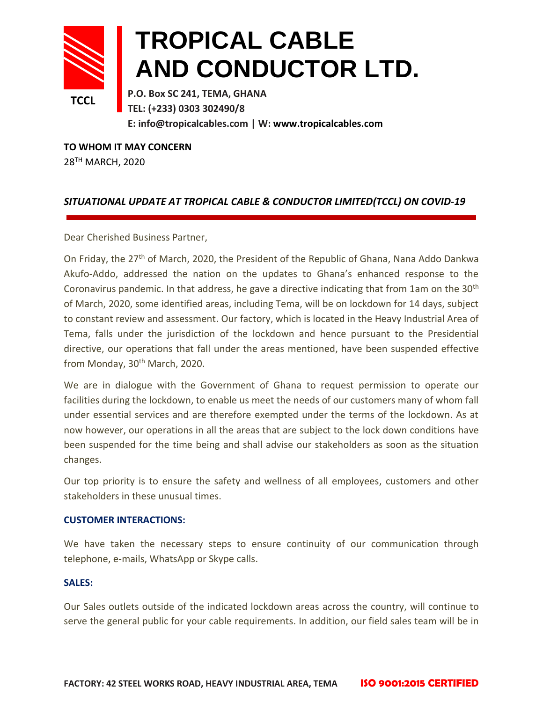

## **TROPICAL CABLE AND CONDUCTOR LTD.**

**P.O. Box SC 241, TEMA, GHANA TEL: (+233) 0303 302490/8 E: info@tropicalcables.com | W: [www.tropicalcables.com](http://www.tropicalcables.com/)**

**TO WHOM IT MAY CONCERN** 28 TH MARCH, 2020

## *SITUATIONAL UPDATE AT TROPICAL CABLE & CONDUCTOR LIMITED(TCCL) ON COVID-19*

Dear Cherished Business Partner,

On Friday, the 27<sup>th</sup> of March, 2020, the President of the Republic of Ghana, Nana Addo Dankwa Akufo-Addo, addressed the nation on the updates to Ghana's enhanced response to the Coronavirus pandemic. In that address, he gave a directive indicating that from 1am on the 30<sup>th</sup> of March, 2020, some identified areas, including Tema, will be on lockdown for 14 days, subject to constant review and assessment. Our factory, which is located in the Heavy Industrial Area of Tema, falls under the jurisdiction of the lockdown and hence pursuant to the Presidential directive, our operations that fall under the areas mentioned, have been suspended effective from Monday, 30<sup>th</sup> March, 2020.

We are in dialogue with the Government of Ghana to request permission to operate our facilities during the lockdown, to enable us meet the needs of our customers many of whom fall under essential services and are therefore exempted under the terms of the lockdown. As at now however, our operations in all the areas that are subject to the lock down conditions have been suspended for the time being and shall advise our stakeholders as soon as the situation changes.

Our top priority is to ensure the safety and wellness of all employees, customers and other stakeholders in these unusual times.

## **CUSTOMER INTERACTIONS:**

We have taken the necessary steps to ensure continuity of our communication through telephone, e-mails, WhatsApp or Skype calls.

## **SALES:**

Our Sales outlets outside of the indicated lockdown areas across the country, will continue to serve the general public for your cable requirements. In addition, our field sales team will be in